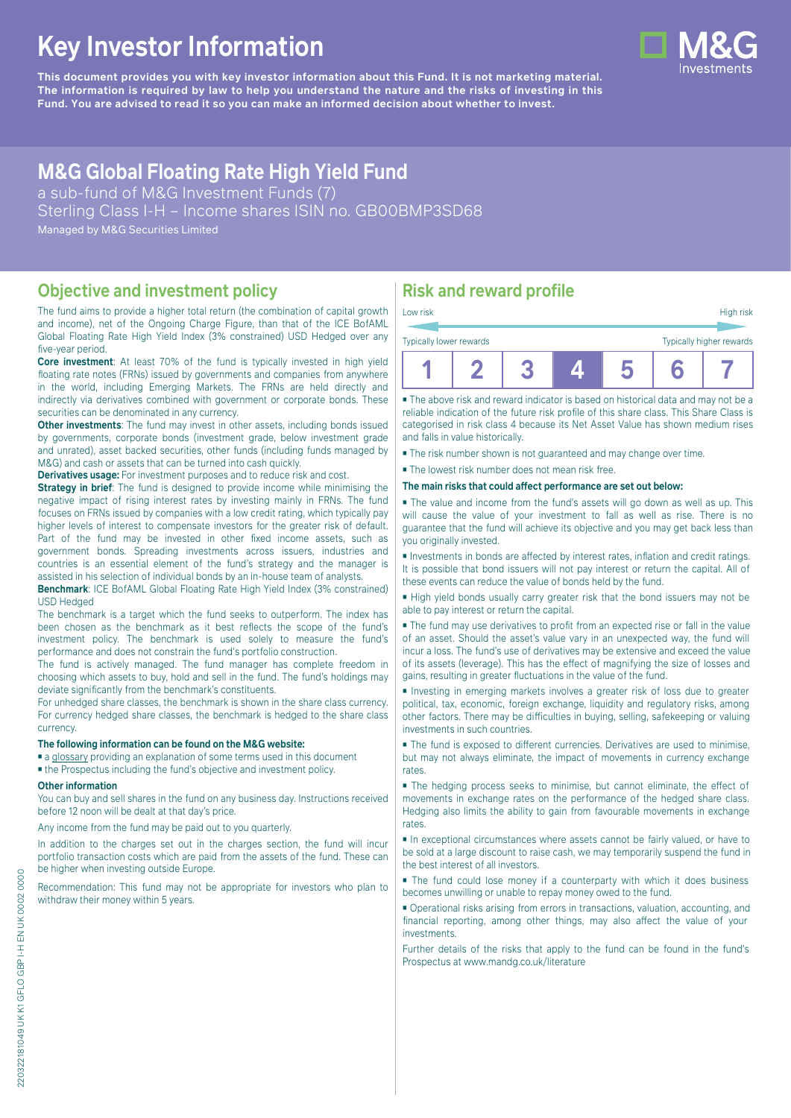# **Key Investor Information**

**This document provides you with key investor information about this Fund. It is not marketing material.** The information is required by law to help you understand the nature and the risks of investing in this **Fund. You are advised to read it so you can make an informed decision about whether to invest.**



## **M&G Global Floating Rate High Yield Fund**

a sub-fund of M&G Investment Funds (7) Sterling Class I-H – Income shares ISIN no. GB00BMP3SD68 Managed by M&G Securities Limited

#### **Objective and investment policy**

The fund aims to provide a higher total return (the combination of capital growth and income), net of the Ongoing Charge Figure, than that of the ICE BofAML Global Floating Rate High Yield Index (3% constrained) USD Hedged over any five-year period.

**Core investment**: At least 70% of the fund is typically invested in high yield floating rate notes (FRNs) issued by governments and companies from anywhere in the world, including Emerging Markets. The FRNs are held directly and indirectly via derivatives combined with government or corporate bonds. These securities can be denominated in any currency.

**Other investments:** The fund may invest in other assets, including bonds issued by governments, corporate bonds (investment grade, below investment grade and unrated), asset backed securities, other funds (including funds managed by M&G) and cash or assets that can be turned into cash quickly.

**Derivatives usage:** For investment purposes and to reduce risk and cost.

**Strategy in brief:** The fund is designed to provide income while minimising the negative impact of rising interest rates by investing mainly in FRNs. The fund focuses on FRNs issued by companies with a low credit rating, which typically pay higher levels of interest to compensate investors for the greater risk of default. Part of the fund may be invested in other fixed income assets, such as government bonds. Spreading investments across issuers, industries and countries is an essential element of the fund's strategy and the manager is assisted in his selection of individual bonds by an in-house team of analysts.

**Benchmark**: ICE BofAML Global Floating Rate High Yield Index (3% constrained) USD Hedged

The benchmark is a target which the fund seeks to outperform. The index has been chosen as the benchmark as it best reflects the scope of the fund's investment policy. The benchmark is used solely to measure the fund's performance and does not constrain the fund's portfolio construction.

The fund is actively managed. The fund manager has complete freedom in choosing which assets to buy, hold and sell in the fund. The fund's holdings may deviate significantly from the benchmark's constituents.

For unhedged share classes, the benchmark is shown in the share class currency. For currency hedged share classes, the benchmark is hedged to the share class currency.

#### **The following information can be found on the M&G website:**

■ [a glossary](https://docs.mandg.com/docs/glossary-master-en.pdf) providing an explanation of some terms used in this document

■ the Prospectus including the fund's objective and investment policy.

#### **Other information**

You can buy and sell shares in the fund on any business day. Instructions received before 12 noon will be dealt at that day's price.

Any income from the fund may be paid out to you quarterly.

In addition to the charges set out in the charges section, the fund will incur portfolio transaction costs which are paid from the assets of the fund. These can be higher when investing outside Europe.

Recommendation: This fund may not be appropriate for investors who plan to withdraw their money within 5 years.

### **Risk and reward profile**

| Low risk                |  |  | High risk                |
|-------------------------|--|--|--------------------------|
| Typically lower rewards |  |  | Typically higher rewards |
|                         |  |  |                          |

■ The above risk and reward indicator is based on historical data and may not be a reliable indication of the future risk profile of this share class. This Share Class is categorised in risk class 4 because its Net Asset Value has shown medium rises and falls in value historically.

■ The risk number shown is not guaranteed and may change over time.

■ The lowest risk number does not mean risk free.

**The main risks that could affect performance are set out below:**

■ The value and income from the fund's assets will go down as well as up. This will cause the value of your investment to fall as well as rise. There is no guarantee that the fund will achieve its objective and you may get back less than you originally invested.

■ Investments in bonds are affected by interest rates, inflation and credit ratings. It is possible that bond issuers will not pay interest or return the capital. All of these events can reduce the value of bonds held by the fund.

■ High yield bonds usually carry greater risk that the bond issuers may not be able to pay interest or return the capital.

■ The fund may use derivatives to profit from an expected rise or fall in the value of an asset. Should the asset's value vary in an unexpected way, the fund will incur a loss. The fund's use of derivatives may be extensive and exceed the value of its assets (leverage). This has the effect of magnifying the size of losses and gains, resulting in greater fluctuations in the value of the fund.

■ Investing in emerging markets involves a greater risk of loss due to greater political, tax, economic, foreign exchange, liquidity and regulatory risks, among other factors. There may be difficulties in buying, selling, safekeeping or valuing investments in such countries.

■ The fund is exposed to different currencies. Derivatives are used to minimise, but may not always eliminate, the impact of movements in currency exchange rates.

■ The hedging process seeks to minimise, but cannot eliminate, the effect of movements in exchange rates on the performance of the hedged share class. Hedging also limits the ability to gain from favourable movements in exchange rates.

■ In exceptional circumstances where assets cannot be fairly valued, or have to be sold at a large discount to raise cash, we may temporarily suspend the fund in the best interest of all investors.

■ The fund could lose money if a counterparty with which it does business becomes unwilling or unable to repay money owed to the fund.

■ Operational risks arising from errors in transactions, valuation, accounting, and financial reporting, among other things, may also affect the value of your investments.

Further details of the risks that apply to the fund can be found in the fund's Prospectus at [www.mandg.co.uk/literature](http://www.mandg.co.uk/literature)